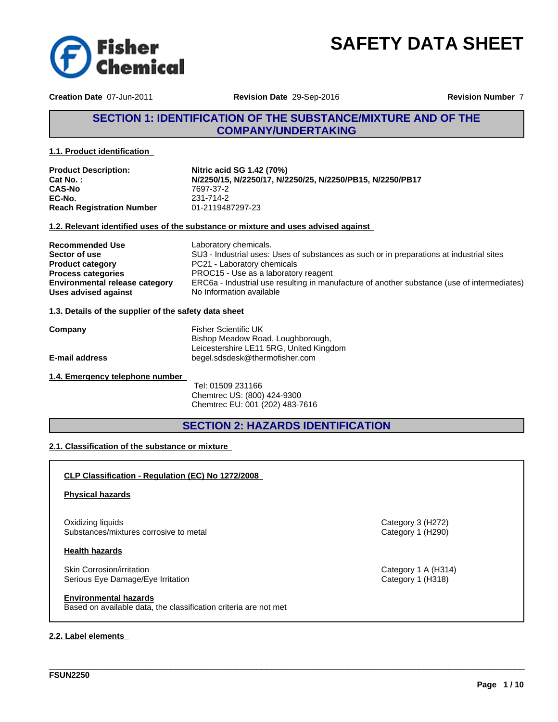

**Creation Date** 07-Jun-2011

**Revision Date** 29-Sep-2016

**Revision Number** 7

# **SECTION 1: IDENTIFICATION OF THE SUBSTANCE/MIXTURE AND OF THE COMPANY/UNDERTAKING**

#### **1.1. Product identification**

| <b>Product Description:</b>      | Nitric acid SG 1.42 (70%)                                 |
|----------------------------------|-----------------------------------------------------------|
| Cat No. :                        | N/2250/15, N/2250/17, N/2250/25, N/2250/PB15, N/2250/PB17 |
| <b>CAS-No</b>                    | 7697-37-2                                                 |
| EC-No.                           | 231-714-2                                                 |
| <b>Reach Registration Number</b> | 01-2119487297-23                                          |

#### **1.2. Relevant identified uses of the substance or mixture and uses advised against**

| <b>Recommended Use</b>                | Laboratory chemicals.                                                                       |
|---------------------------------------|---------------------------------------------------------------------------------------------|
| Sector of use                         | SU3 - Industrial uses: Uses of substances as such or in preparations at industrial sites    |
| <b>Product category</b>               | PC21 - Laboratory chemicals                                                                 |
| <b>Process categories</b>             | PROC15 - Use as a laboratory reagent                                                        |
| <b>Environmental release category</b> | ERC6a - Industrial use resulting in manufacture of another substance (use of intermediates) |
| Uses advised against                  | No Information available                                                                    |

### **1.3. Details of the supplier of the safety data sheet**

| Company               | Fisher Scientific UK                    |  |
|-----------------------|-----------------------------------------|--|
|                       | Bishop Meadow Road, Loughborough,       |  |
|                       | Leicestershire LE11 5RG, United Kingdom |  |
| <b>E-mail address</b> | begel.sdsdesk@thermofisher.com          |  |

#### **1.4. Emergency telephone number**

 Tel: 01509 231166 Chemtrec US: (800) 424-9300 Chemtrec EU: 001 (202) 483-7616

# **SECTION 2: HAZARDS IDENTIFICATION**

\_\_\_\_\_\_\_\_\_\_\_\_\_\_\_\_\_\_\_\_\_\_\_\_\_\_\_\_\_\_\_\_\_\_\_\_\_\_\_\_\_\_\_\_\_\_\_\_\_\_\_\_\_\_\_\_\_\_\_\_\_\_\_\_\_\_\_\_\_\_\_\_\_\_\_\_\_\_\_\_\_\_\_\_\_\_\_\_\_\_\_\_\_\_

## **2.1. Classification of the substance or mixture**

**CLP Classification - Regulation (EC) No 1272/2008** 

#### **Physical hazards**

Oxidizing liquids Category 3 (H272) Substances/mixtures corrosive to metal Category 1 (H290)

#### **Health hazards**

Skin Corrosion/irritation Category 1 A (H314) Serious Eye Damage/Eye Irritation **Category 1 (H318)** Category 1 (H318)

**Environmental hazards**

Based on available data, the classification criteria are not met

#### **2.2. Label elements**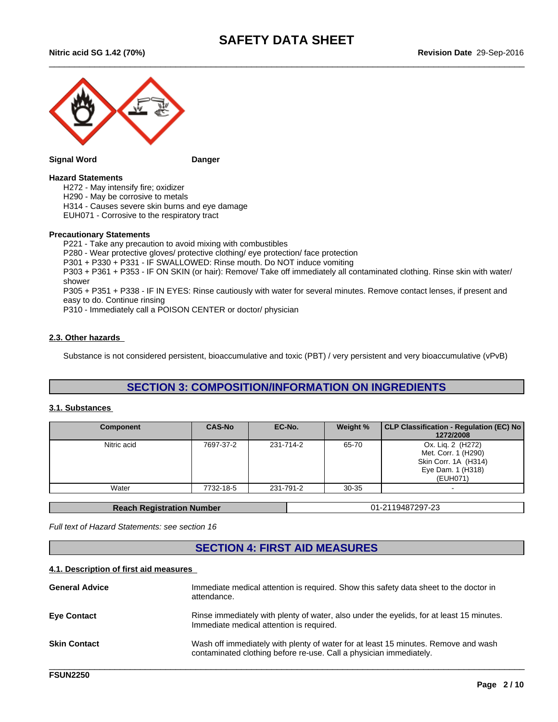$\_$  ,  $\_$  ,  $\_$  ,  $\_$  ,  $\_$  ,  $\_$  ,  $\_$  ,  $\_$  ,  $\_$  ,  $\_$  ,  $\_$  ,  $\_$  ,  $\_$  ,  $\_$  ,  $\_$  ,  $\_$  ,  $\_$  ,  $\_$  ,  $\_$  ,  $\_$  ,  $\_$  ,  $\_$  ,  $\_$  ,  $\_$  ,  $\_$  ,  $\_$  ,  $\_$  ,  $\_$  ,  $\_$  ,  $\_$  ,  $\_$  ,  $\_$  ,  $\_$  ,  $\_$  ,  $\_$  ,  $\_$  ,  $\_$  ,

**Nitric acid SG 1.42 (70%)**



#### **Signal Word Danger**

#### **Hazard Statements**

H272 - May intensify fire; oxidizer

H290 - May be corrosive to metals

H314 - Causes severe skin burns and eye damage

EUH071 - Corrosive to the respiratory tract

#### **Precautionary Statements**

P221 - Take any precaution to avoid mixing with combustibles P280 - Wear protective gloves/ protective clothing/ eye protection/ face protection P301 + P330 + P331 - IF SWALLOWED: Rinse mouth. Do NOT induce vomiting P303 + P361 + P353 - IF ON SKIN (or hair): Remove/ Take off immediately all contaminated clothing. Rinse skin with water/ shower P305 + P351 + P338 - IF IN EYES: Rinse cautiously with water for several minutes. Remove contact lenses, if present and easy to do. Continue rinsing

P310 - Immediately call a POISON CENTER or doctor/ physician

#### **2.3. Other hazards**

Substance is not considered persistent, bioaccumulative and toxic (PBT) / very persistent and very bioaccumulative (vPvB)

# **SECTION 3: COMPOSITION/INFORMATION ON INGREDIENTS**

#### **3.1. Substances**

| <b>Component</b> | <b>CAS-No</b> | EC-No.    | Weight %  | CLP Classification - Regulation (EC) No<br>1272/2008                                              |
|------------------|---------------|-----------|-----------|---------------------------------------------------------------------------------------------------|
| Nitric acid      | 7697-37-2     | 231-714-2 | 65-70     | Ox. Lig. 2 (H272)<br>Met. Corr. 1 (H290)<br>Skin Corr. 1A (H314)<br>Eye Dam. 1 (H318)<br>(EUH071) |
| Water            | 7732-18-5     | 231-791-2 | $30 - 35$ | $\overline{\phantom{a}}$                                                                          |

**Reach Registration Number**  01-2119487297-23

*Full text of Hazard Statements: see section 16*

# **SECTION 4: FIRST AID MEASURES**

#### **4.1. Description of first aid measures**

| <b>General Advice</b> | Immediate medical attention is required. Show this safety data sheet to the doctor in<br>attendance.                                                     |
|-----------------------|----------------------------------------------------------------------------------------------------------------------------------------------------------|
| <b>Eve Contact</b>    | Rinse immediately with plenty of water, also under the eyelids, for at least 15 minutes.<br>Immediate medical attention is required.                     |
| <b>Skin Contact</b>   | Wash off immediately with plenty of water for at least 15 minutes. Remove and wash<br>contaminated clothing before re-use. Call a physician immediately. |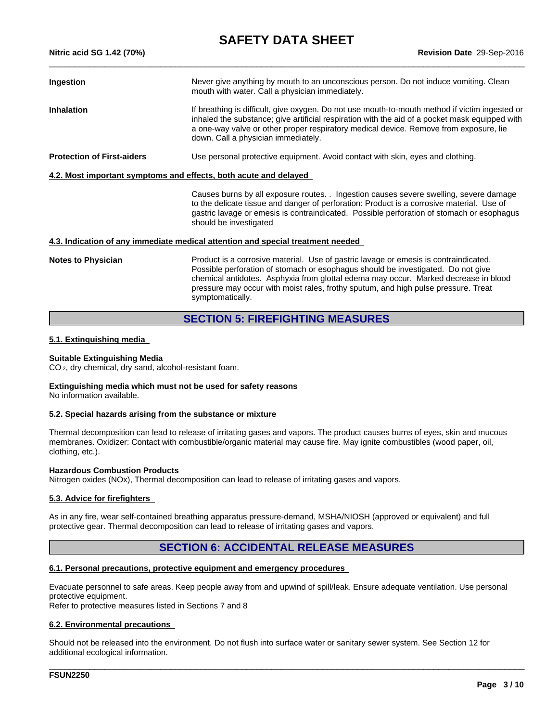**Revision Date** 29-Sep-2016

| Ingestion                         | Never give anything by mouth to an unconscious person. Do not induce vomiting. Clean<br>mouth with water. Call a physician immediately.                                                                                                                                                                                          |
|-----------------------------------|----------------------------------------------------------------------------------------------------------------------------------------------------------------------------------------------------------------------------------------------------------------------------------------------------------------------------------|
| <b>Inhalation</b>                 | If breathing is difficult, give oxygen. Do not use mouth-to-mouth method if victim ingested or<br>inhaled the substance; give artificial respiration with the aid of a pocket mask equipped with<br>a one-way valve or other proper respiratory medical device. Remove from exposure, lie<br>down. Call a physician immediately. |
| <b>Protection of First-aiders</b> | Use personal protective equipment. Avoid contact with skin, eyes and clothing.                                                                                                                                                                                                                                                   |
|                                   | 4.2. Most important symptoms and effects, both acute and delayed                                                                                                                                                                                                                                                                 |
|                                   | Causes burns by all exposure routes. . Ingestion causes severe swelling, severe damage<br>to the delicate tissue and danger of perforation: Product is a corrosive material. Use of<br>gastric lavage or emesis is contraindicated. Possible perforation of stomach or esophagus<br>should be investigated                       |

#### **4.3. Indication of any immediate medical attention and special treatment needed**

**Notes to Physician** Product is a corrosive material. Use of gastric lavage or emesis is contraindicated. Possible perforation of stomach or esophagus should be investigated. Do not give chemical antidotes. Asphyxia from glottal edema may occur. Marked decrease in blood pressure may occur with moist rales, frothy sputum, and high pulse pressure. Treat symptomatically.

# **SECTION 5: FIREFIGHTING MEASURES**

#### **5.1. Extinguishing media**

**Nitric acid SG 1.42 (70%)**

#### **Suitable Extinguishing Media**

CO 2, dry chemical, dry sand, alcohol-resistant foam.

# **Extinguishing media which must not be used for safety reasons**

No information available.

#### **5.2. Special hazards arising from the substance or mixture**

Thermal decomposition can lead to release of irritating gases and vapors. The product causes burns of eyes, skin and mucous membranes. Oxidizer: Contact with combustible/organic material may cause fire. May ignite combustibles (wood paper, oil, clothing, etc.).

#### **Hazardous Combustion Products**

Nitrogen oxides (NOx), Thermal decomposition can lead to release of irritating gases and vapors.

#### **5.3. Advice for firefighters**

As in any fire, wear self-contained breathing apparatus pressure-demand, MSHA/NIOSH (approved or equivalent) and full protective gear. Thermal decomposition can lead to release of irritating gases and vapors.

# **SECTION 6: ACCIDENTAL RELEASE MEASURES**

#### **6.1. Personal precautions, protective equipment and emergency procedures**

Evacuate personnel to safe areas. Keep people away from and upwind of spill/leak. Ensure adequate ventilation. Use personal protective equipment.

Refer to protective measures listed in Sections 7 and 8

#### **6.2. Environmental precautions**

Should not be released into the environment. Do not flush into surface water or sanitary sewer system. See Section 12 for additional ecological information.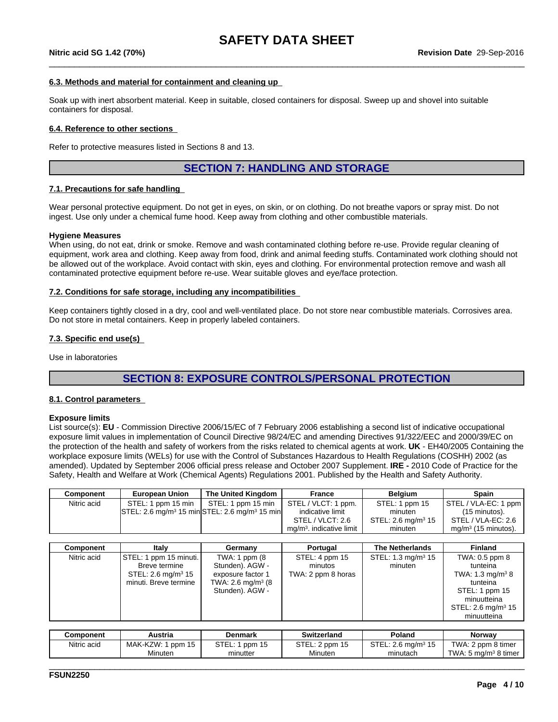$\_$  ,  $\_$  ,  $\_$  ,  $\_$  ,  $\_$  ,  $\_$  ,  $\_$  ,  $\_$  ,  $\_$  ,  $\_$  ,  $\_$  ,  $\_$  ,  $\_$  ,  $\_$  ,  $\_$  ,  $\_$  ,  $\_$  ,  $\_$  ,  $\_$  ,  $\_$  ,  $\_$  ,  $\_$  ,  $\_$  ,  $\_$  ,  $\_$  ,  $\_$  ,  $\_$  ,  $\_$  ,  $\_$  ,  $\_$  ,  $\_$  ,  $\_$  ,  $\_$  ,  $\_$  ,  $\_$  ,  $\_$  ,  $\_$  ,

#### **6.3. Methods and material for containment and cleaning up**

Soak up with inert absorbent material. Keep in suitable, closed containers for disposal. Sweep up and shovel into suitable containers for disposal.

#### **6.4. Reference to other sections**

Refer to protective measures listed in Sections 8 and 13.

## **SECTION 7: HANDLING AND STORAGE**

#### **7.1. Precautions for safe handling**

Wear personal protective equipment. Do not get in eyes, on skin, or on clothing. Do not breathe vapors or spray mist. Do not ingest. Use only under a chemical fume hood. Keep away from clothing and other combustible materials.

#### **Hygiene Measures**

When using, do not eat, drink or smoke. Remove and wash contaminated clothing before re-use. Provide regular cleaning of equipment, work area and clothing. Keep away from food, drink and animal feeding stuffs. Contaminated work clothing should not be allowed out of the workplace. Avoid contact with skin, eyes and clothing. For environmental protection remove and wash all contaminated protective equipment before re-use. Wear suitable gloves and eye/face protection.

#### **7.2. Conditions for safe storage, including any incompatibilities**

Keep containers tightly closed in a dry, cool and well-ventilated place. Do not store near combustible materials. Corrosives area. Do not store in metal containers. Keep in properly labeled containers.

#### **7.3. Specific end use(s)**

Use in laboratories

# **SECTION 8: EXPOSURE CONTROLS/PERSONAL PROTECTION**

#### **8.1. Control parameters**

#### **Exposure limits**

List source(s): **EU** - Commission Directive 2006/15/EC of 7 February 2006 establishing a second list of indicative occupational exposure limit values in implementation of Council Directive 98/24/EC and amending Directives 91/322/EEC and 2000/39/EC on the protection of the health and safety of workers from the risks related to chemical agents at work. **UK** - EH40/2005 Containing the workplace exposure limits (WELs) for use with the Control of Substances Hazardous to Health Regulations (COSHH) 2002 (as amended). Updated by September 2006 official press release and October 2007 Supplement. **IRE -** 2010 Code of Practice for the Safety, Health and Welfare at Work (Chemical Agents) Regulations 2001. Published by the Health and Safety Authority.

| Component   | <b>European Union</b>          | The United Kingdom                                                                    | France                     | Belgium                        | Spain                        |
|-------------|--------------------------------|---------------------------------------------------------------------------------------|----------------------------|--------------------------------|------------------------------|
| Nitric acid | STEL: 1 ppm 15 min             | STEL: 1 ppm 15 min                                                                    | STEL / VLCT: 1 ppm.        | STEL: 1 ppm 15                 | STEL / VLA-EC: 1 ppm         |
|             |                                | $\textsf{STEL}: 2.6 \text{ mg/m}^3$ 15 min $\textsf{STEL}: 2.6 \text{ mg/m}^3$ 15 min | indicative limit           | minuten                        | $(15 \text{ minutes}).$      |
|             |                                |                                                                                       | STEL / VLCT: 2.6           | STEL: 2.6 mg/m <sup>3</sup> 15 | STEL / VLA-EC: 2.6           |
|             |                                |                                                                                       | $mq/m3$ . indicative limit | minuten                        | mg/m $3$ (15 minutos).       |
|             |                                |                                                                                       |                            |                                |                              |
| Component   | Italv                          | Germany                                                                               | Portugal                   | <b>The Netherlands</b>         | Finland                      |
| Nitric acid | STEL: 1 ppm 15 minuti.         | TWA: 1 ppm (8                                                                         | STEL: 4 ppm 15             | STEL: 1.3 mg/m <sup>3</sup> 15 | TWA: 0.5 ppm 8               |
|             | Breve termine                  | Stunden). AGW -                                                                       | minutos                    | minuten                        | tunteina                     |
|             | STEL: 2.6 mg/m <sup>3</sup> 15 | exposure factor 1                                                                     | TWA: 2 ppm 8 horas         |                                | TWA: 1.3 mg/m <sup>3</sup> 8 |
|             | minuti. Breve termine          | TWA: 2.6 mg/m <sup>3</sup> (8)                                                        |                            |                                | tunteina                     |

| Component   | Austria              | Denmark         | <b>Switzerland</b> | Poland                           | Norwav                          |
|-------------|----------------------|-----------------|--------------------|----------------------------------|---------------------------------|
| Nitric acid | MAK-KZW: 1<br>ppm 15 | STEL:<br>ppm 15 | STEL: 2 ppm 15     | $STEL: 2.6$ mg/m <sup>3</sup> 15 | TWA: 2 ppm 8 timer              |
|             | Minuten              | minutter        | Minuten            | minutach                         | TWA: $5 \text{ mg/m}^3$ 8 timer |

\_\_\_\_\_\_\_\_\_\_\_\_\_\_\_\_\_\_\_\_\_\_\_\_\_\_\_\_\_\_\_\_\_\_\_\_\_\_\_\_\_\_\_\_\_\_\_\_\_\_\_\_\_\_\_\_\_\_\_\_\_\_\_\_\_\_\_\_\_\_\_\_\_\_\_\_\_\_\_\_\_\_\_\_\_\_\_\_\_\_\_\_\_\_

Stunden). AGW -

STEL: 2.6 mg/m<sup>3</sup> 15

STEL: 1 ppm 15 minuutteina

minuutteina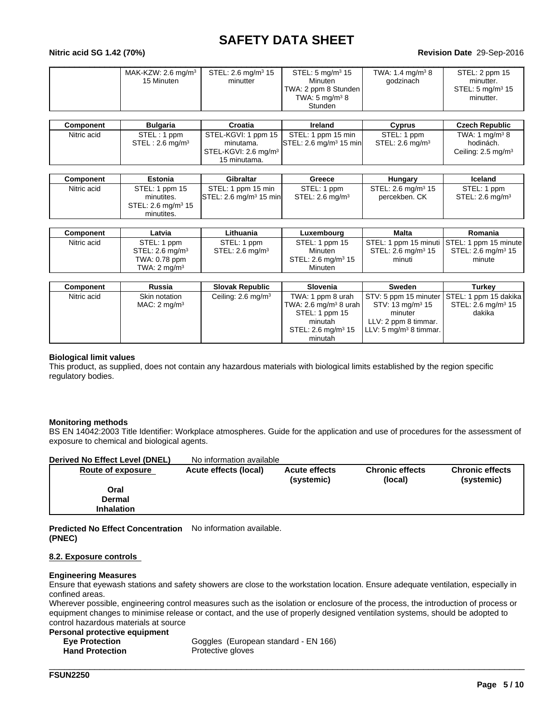#### **Nitric acid SG 1.42 (70%)**

#### **Revision Date** 29-Sep-2016

| TWA: 2 ppm 8 Stunden<br>STEL: 5 mg/m <sup>3</sup> 15<br>TWA: $5 \text{ mg/m}^3$ 8<br>minutter.<br>Stunden |
|-----------------------------------------------------------------------------------------------------------|
|-----------------------------------------------------------------------------------------------------------|

| Component   | <b>Bulgaria</b>             | Croatia                       | Ireland                             | Cvprus             | <b>Czech Republic</b>         |
|-------------|-----------------------------|-------------------------------|-------------------------------------|--------------------|-------------------------------|
| Nitric acid | STEL: 1 ppm                 | $\sqrt{STEL-KGVI}$ : 1 ppm 15 | STEL: 1 ppm 15 min                  | STEL: 1 ppm        | TWA: 1 $ma/m3$ 8              |
|             | STEL: 2.6 ma/m <sup>3</sup> | minutama.                     | ISTEL: 2.6 ma/m <sup>3</sup> 15 min | STEL: 2.6 mg/m $3$ | hodinách.                     |
|             |                             | STEL-KGVI: 2.6 mg/m $^3$      |                                     |                    | Ceiling: $2.5 \text{ mg/m}^3$ |
|             |                             | 15 minutama.                  |                                     |                    |                               |

| Component   | Estonia                        | Gibraltar                           | Greece             | Hungarv                        | <b>Iceland</b>     |
|-------------|--------------------------------|-------------------------------------|--------------------|--------------------------------|--------------------|
| Nitric acid | STEL: 1 ppm 15                 | STEL: 1 ppm 15 min                  | STEL: 1 ppm        | STEL: 2.6 mg/m <sup>3</sup> 15 | STEL: 1 ppm        |
|             | minutites.                     | ISTEL: 2.6 ma/m <sup>3</sup> 15 min | STEL: 2.6 mg/m $3$ | percekben. CK                  | STEL: 2.6 mg/m $3$ |
|             | STEL: 2.6 mg/m <sup>3</sup> 15 |                                     |                    |                                |                    |
|             | minutites.                     |                                     |                    |                                |                    |

| Component   | Latvia                  | Lithuania         | Luxemboura                     | <b>Malta</b>                   | Romania                                     |
|-------------|-------------------------|-------------------|--------------------------------|--------------------------------|---------------------------------------------|
| Nitric acid | STEL: 1 ppm             | STEL: 1 ppm       | STEL: 1 ppm 15                 |                                | STEL: 1 ppm 15 minuti STEL: 1 ppm 15 minute |
|             | STEL: 2.6 mg/m $3$      | STEL: 2.6 $mq/m3$ | Minuten                        | STEL: 2.6 mg/m <sup>3</sup> 15 | STEL: 2.6 mg/m <sup>3</sup> 15              |
|             | TWA: 0.78 ppm           |                   | STEL: 2.6 mg/m <sup>3</sup> 15 | minuti                         | minute                                      |
|             | TWA: $2 \text{ mg/m}^3$ |                   | Minuten                        |                                |                                             |

| Component   | Russia                   | <b>Slovak Republic</b>        | <b>Slovenia</b>                   | <b>Sweden</b>                               | Turkev                         |
|-------------|--------------------------|-------------------------------|-----------------------------------|---------------------------------------------|--------------------------------|
| Nitric acid | Skin notation            | Ceiling: $2.6 \text{ mg/m}^3$ | TWA: 1 ppm 8 urah                 | STV: 5 ppm 15 minuter STEL: 1 ppm 15 dakika |                                |
|             | MAC: 2 mg/m <sup>3</sup> |                               | TWA: 2.6 mg/m <sup>3</sup> 8 urah | $STV: 13 \text{ mg/m}^3 15$                 | STEL: 2.6 mg/m <sup>3</sup> 15 |
|             |                          |                               | STEL: 1 ppm 15                    | minuter                                     | dakika                         |
|             |                          |                               | minutah                           | LLV: 2 ppm 8 timmar.                        |                                |
|             |                          |                               | STEL: 2.6 mg/m <sup>3</sup> 15    | LLV: 5 mg/m <sup>3</sup> 8 timmar.          |                                |
|             |                          |                               | minutah                           |                                             |                                |

#### **Biological limit values**

This product, as supplied, does not contain any hazardous materials with biological limits established by the region specific regulatory bodies.

#### **Monitoring methods**

BS EN 14042:2003 Title Identifier: Workplace atmospheres. Guide for the application and use of procedures for the assessment of exposure to chemical and biological agents.

| Derived No Effect Level (DNEL) | No information available |                                    |                                   |                                      |
|--------------------------------|--------------------------|------------------------------------|-----------------------------------|--------------------------------------|
| Route of exposure              | Acute effects (local)    | <b>Acute effects</b><br>(systemic) | <b>Chronic effects</b><br>(local) | <b>Chronic effects</b><br>(systemic) |
| Oral                           |                          |                                    |                                   |                                      |
| Dermal                         |                          |                                    |                                   |                                      |
| <b>Inhalation</b>              |                          |                                    |                                   |                                      |

**Predicted No Effect Concentration** No information available. **(PNEC)**

#### **8.2. Exposure controls**

#### **Engineering Measures**

Ensure that eyewash stations and safety showers are close to the workstation location. Ensure adequate ventilation, especially in confined areas.

Wherever possible, engineering control measures such as the isolation or enclosure of the process, the introduction of process or equipment changes to minimise release or contact, and the use of properly designed ventilation systems, should be adopted to control hazardous materials at source

| Personal protective equipment |                                      |
|-------------------------------|--------------------------------------|
| <b>Eve Protection</b>         | Goggles (European standard - EN 166) |
| <b>Hand Protection</b>        | Protective gloves                    |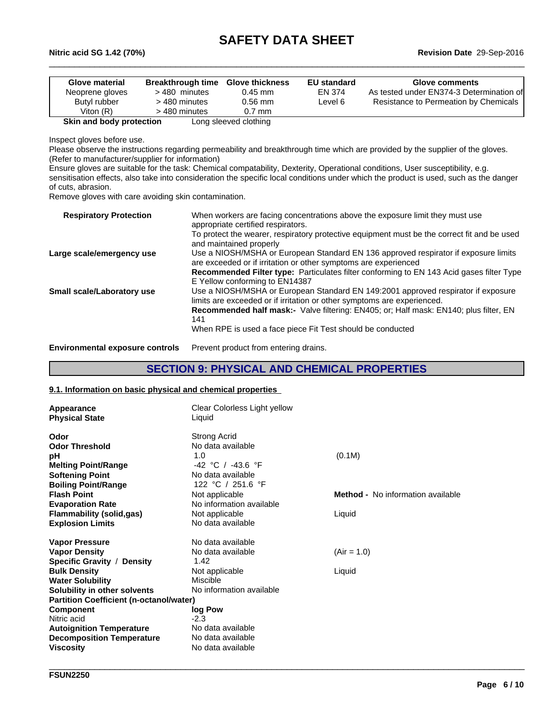$\_$  ,  $\_$  ,  $\_$  ,  $\_$  ,  $\_$  ,  $\_$  ,  $\_$  ,  $\_$  ,  $\_$  ,  $\_$  ,  $\_$  ,  $\_$  ,  $\_$  ,  $\_$  ,  $\_$  ,  $\_$  ,  $\_$  ,  $\_$  ,  $\_$  ,  $\_$  ,  $\_$  ,  $\_$  ,  $\_$  ,  $\_$  ,  $\_$  ,  $\_$  ,  $\_$  ,  $\_$  ,  $\_$  ,  $\_$  ,  $\_$  ,  $\_$  ,  $\_$  ,  $\_$  ,  $\_$  ,  $\_$  ,  $\_$  ,

**Nitric acid SG 1.42 (70%)**

| Glove material           | <b>Breakthrough time</b> | <b>Glove thickness</b> | <b>EU standard</b> | <b>Glove comments</b>                    |
|--------------------------|--------------------------|------------------------|--------------------|------------------------------------------|
| Neoprene gloves          | >480 minutes             | $0.45$ mm              | EN 374             | As tested under EN374-3 Determination of |
| Butyl rubber             | > 480 minutes            | $0.56$ mm              | Level 6            | Resistance to Permeation by Chemicals    |
| Viton $(R)$              | > 480 minutes            | $0.7$ mm               |                    |                                          |
| Skin and body protection |                          | Long sleeved clothing  |                    |                                          |

Inspect gloves before use.

Please observe the instructions regarding permeability and breakthrough time which are provided by the supplier of the gloves. (Refer to manufacturer/supplier for information)

Ensure gloves are suitable for the task: Chemical compatability, Dexterity, Operational conditions, User susceptibility, e.g. sensitisation effects, also take into consideration the specific local conditions under which the product is used, such as the danger of cuts, abrasion.

Remove gloves with care avoiding skin contamination.

| <b>Respiratory Protection</b><br>appropriate certified respirators.                                                                                                                        |  |
|--------------------------------------------------------------------------------------------------------------------------------------------------------------------------------------------|--|
| To protect the wearer, respiratory protective equipment must be the correct fit and be used<br>and maintained properly                                                                     |  |
| Use a NIOSH/MSHA or European Standard EN 136 approved respirator if exposure limits<br>Large scale/emergency use<br>are exceeded or if irritation or other symptoms are experienced        |  |
| Recommended Filter type: Particulates filter conforming to EN 143 Acid gases filter Type<br>E Yellow conforming to EN14387                                                                 |  |
| Use a NIOSH/MSHA or European Standard EN 149:2001 approved respirator if exposure<br>Small scale/Laboratory use<br>limits are exceeded or if irritation or other symptoms are experienced. |  |
| <b>Recommended half mask:-</b> Valve filtering: EN405; or; Half mask: EN140; plus filter, EN<br>141                                                                                        |  |
| When RPE is used a face piece Fit Test should be conducted                                                                                                                                 |  |

**Environmental exposure controls** Prevent product from entering drains.

## **SECTION 9: PHYSICAL AND CHEMICAL PROPERTIES**

\_\_\_\_\_\_\_\_\_\_\_\_\_\_\_\_\_\_\_\_\_\_\_\_\_\_\_\_\_\_\_\_\_\_\_\_\_\_\_\_\_\_\_\_\_\_\_\_\_\_\_\_\_\_\_\_\_\_\_\_\_\_\_\_\_\_\_\_\_\_\_\_\_\_\_\_\_\_\_\_\_\_\_\_\_\_\_\_\_\_\_\_\_\_

#### **9.1. Information on basic physical and chemical properties**

| Appearance<br><b>Physical State</b>            | Clear Colorless Light yellow<br>Liquid |                                          |
|------------------------------------------------|----------------------------------------|------------------------------------------|
| Odor                                           | <b>Strong Acrid</b>                    |                                          |
| <b>Odor Threshold</b>                          | No data available                      |                                          |
| рH                                             | 1.0                                    | (0.1M)                                   |
| <b>Melting Point/Range</b>                     | -42 °C / -43.6 °F                      |                                          |
| <b>Softening Point</b>                         | No data available                      |                                          |
| <b>Boiling Point/Range</b>                     | 122 °C / 251.6 °F                      |                                          |
| <b>Flash Point</b>                             | Not applicable                         | <b>Method -</b> No information available |
| <b>Evaporation Rate</b>                        | No information available               |                                          |
| <b>Flammability (solid,gas)</b>                | Not applicable                         | Liquid                                   |
| <b>Explosion Limits</b>                        | No data available                      |                                          |
| <b>Vapor Pressure</b>                          | No data available                      |                                          |
| <b>Vapor Density</b>                           | No data available                      | $(Air = 1.0)$                            |
| Specific Gravity / Density                     | 1.42                                   |                                          |
| <b>Bulk Density</b>                            | Not applicable                         | Liquid                                   |
| <b>Water Solubility</b>                        | Miscible                               |                                          |
| Solubility in other solvents                   | No information available               |                                          |
| <b>Partition Coefficient (n-octanol/water)</b> |                                        |                                          |
| Component                                      | log Pow                                |                                          |
| Nitric acid                                    | $-2.3$                                 |                                          |
| <b>Autoignition Temperature</b>                | No data available                      |                                          |
| <b>Decomposition Temperature</b>               | No data available                      |                                          |
| Viscosity                                      | No data available                      |                                          |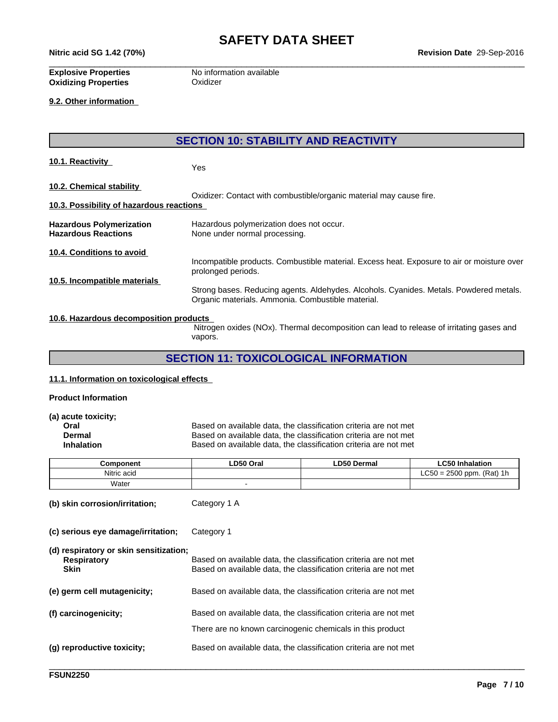**Nitric acid SG 1.42 (70%)**

**Revision Date** 29-Sep-2016

**Oxidizing Properties Oxidizer** 

**Explosive Properties** No information available

**9.2. Other information** 

**SECTION 10: STABILITY AND REACTIVITY**

**10.1. Reactivity** Yes

**10.2. Chemical stability** 

Oxidizer: Contact with combustible/organic material may cause fire. **10.3. Possibility of hazardous reactions** 

**Hazardous Polymerization** Hazardous polymerization does not occur. **Hazardous Reactions** None under normal processing.

**10.4. Conditions to avoid** 

Incompatible products. Combustible material. Excess heat. Exposure to air or moisture over prolonged periods.

 $\_$  ,  $\_$  ,  $\_$  ,  $\_$  ,  $\_$  ,  $\_$  ,  $\_$  ,  $\_$  ,  $\_$  ,  $\_$  ,  $\_$  ,  $\_$  ,  $\_$  ,  $\_$  ,  $\_$  ,  $\_$  ,  $\_$  ,  $\_$  ,  $\_$  ,  $\_$  ,  $\_$  ,  $\_$  ,  $\_$  ,  $\_$  ,  $\_$  ,  $\_$  ,  $\_$  ,  $\_$  ,  $\_$  ,  $\_$  ,  $\_$  ,  $\_$  ,  $\_$  ,  $\_$  ,  $\_$  ,  $\_$  ,  $\_$  ,

**10.5. Incompatible materials** 

Strong bases. Reducing agents. Aldehydes. Alcohols. Cyanides. Metals. Powdered metals. Organic materials. Ammonia. Combustible material.

#### **10.6. Hazardous decomposition products**

 Nitrogen oxides (NOx). Thermal decomposition can lead to release of irritating gases and vapors.

# **SECTION 11: TOXICOLOGICAL INFORMATION**

#### **11.1. Information on toxicological effects**

#### **Product Information**

**(a) acute toxicity;**

**Oral Channel Based on available data, the classification criteria are not met Dermal** Dermal Dermal Based on available data, the classification criteria are not met **Dermal** Based on available data, the classification criteria are not met<br> **Inhalation** Based on available data, the classification criteria are not met Based on available data, the classification criteria are not met

| Component   | .D50 Oral | <b>.D50 Dermal</b> | $   -$<br>Inhalation                                      |
|-------------|-----------|--------------------|-----------------------------------------------------------|
| Nitric acid |           |                    | $= 2500$ ppm. (Rat)<br>C50<br><b>4</b> h<br>- 111<br>∟ບ∪∟ |
| Water       |           |                    |                                                           |

**(b) skin corrosion/irritation;** Category 1 A

**(c) serious eye damage/irritation;** Category 1

| (d) respiratory or skin sensitization;<br>Respiratory<br><b>Skin</b> | Based on available data, the classification criteria are not met<br>Based on available data, the classification criteria are not met |
|----------------------------------------------------------------------|--------------------------------------------------------------------------------------------------------------------------------------|
| (e) germ cell mutagenicity;                                          | Based on available data, the classification criteria are not met                                                                     |
| (f) carcinogenicity;                                                 | Based on available data, the classification criteria are not met<br>There are no known carcinogenic chemicals in this product        |
| (g) reproductive toxicity;                                           | Based on available data, the classification criteria are not met                                                                     |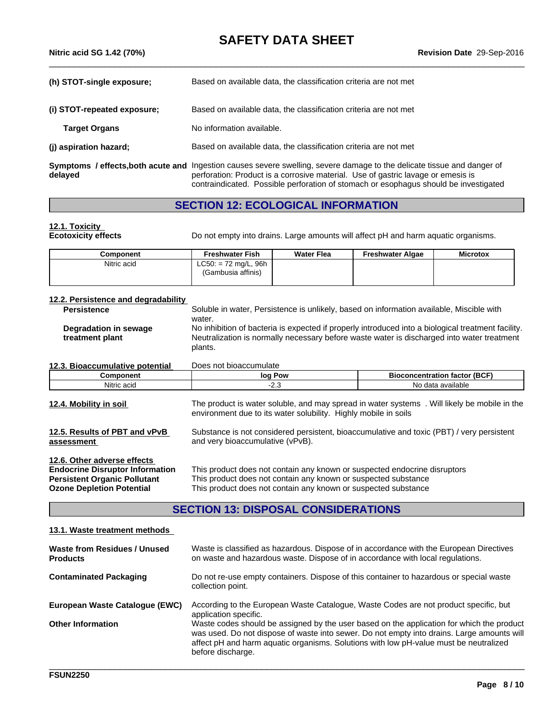| (h) STOT-single exposure;   | Based on available data, the classification criteria are not met                                                                                                                                            |
|-----------------------------|-------------------------------------------------------------------------------------------------------------------------------------------------------------------------------------------------------------|
| (i) STOT-repeated exposure; | Based on available data, the classification criteria are not met                                                                                                                                            |
| <b>Target Organs</b>        | No information available.                                                                                                                                                                                   |
| (j) aspiration hazard;      | Based on available data, the classification criteria are not met                                                                                                                                            |
| delayed                     | Symptoms / effects, both acute and Ingestion causes severe swelling, severe damage to the delicate tissue and danger of<br>perforation: Product is a corrosive material. Use of gastric lavage or emesis is |

# **SECTION 12: ECOLOGICAL INFORMATION**

## **12.1. Toxicity**

**Ecotoxicity effects** Do not empty into drains. Large amounts will affect pH and harm aquatic organisms.

contraindicated. Possible perforation of stomach or esophagus should be investigated

| Component   | <b>Freshwater Fish</b>                       | <b>Water Flea</b> | <b>Freshwater Algae</b> | <b>Microtox</b> |
|-------------|----------------------------------------------|-------------------|-------------------------|-----------------|
| Nitric acid | $LC50: = 72$ mg/L, 96h<br>(Gambusia affinis) |                   |                         |                 |

| <b>Persistence</b>                       | Soluble in water, Persistence is unlikely, based on information available, Miscible with                                                                                                                              |
|------------------------------------------|-----------------------------------------------------------------------------------------------------------------------------------------------------------------------------------------------------------------------|
| Degradation in sewage<br>treatment plant | water.<br>No inhibition of bacteria is expected if properly introduced into a biological treatment facility.<br>Neutralization is normally necessary before waste water is discharged into water treatment<br>plants. |
| 12.3. Bioaccumulative potential          | Does not bioaccumulate                                                                                                                                                                                                |

and very bioaccumulative (vPvB).

| <b>12.3. Bioaccumulative potential</b> | <b>PUCS TIOL DIOGUULITURIC</b> |                                    |
|----------------------------------------|--------------------------------|------------------------------------|
| :omponent                              | Pow<br>loc                     | . (BCF<br>. tactor<br>oncentration |
| Nitric acid                            | <u>L.v</u>                     | ı avaılable                        |

| 12.4. Mobility in soil        | The product is water soluble, and may spread in water systems. Will likely be mobile in the<br>environment due to its water solubility. Highly mobile in soils |
|-------------------------------|----------------------------------------------------------------------------------------------------------------------------------------------------------------|
| 12.5. Results of PBT and vPvB | Substance is not considered persistent, bioaccumulative and toxic (PBT) / very persistent                                                                      |

**assessment** 

**12.6. Other adverse effects** 

**12.2. Persistence and degradability** 

**Endocrine Disruptor Information** This product does not contain any known or suspected endocrine disruptors **Persistent Organic Pollutant** This product does not contain any known or suspected substance<br> **Ozone Depletion Potential** This product does not contain any known or suspected substance This product does not contain any known or suspected substance

# **SECTION 13: DISPOSAL CONSIDERATIONS**

#### **13.1. Waste treatment methods**

| <b>Waste from Residues / Unused</b><br><b>Products</b> | Waste is classified as hazardous. Dispose of in accordance with the European Directives<br>on waste and hazardous waste. Dispose of in accordance with local regulations.                                                                                                                             |
|--------------------------------------------------------|-------------------------------------------------------------------------------------------------------------------------------------------------------------------------------------------------------------------------------------------------------------------------------------------------------|
| <b>Contaminated Packaging</b>                          | Do not re-use empty containers. Dispose of this container to hazardous or special waste<br>collection point.                                                                                                                                                                                          |
| European Waste Catalogue (EWC)                         | According to the European Waste Catalogue, Waste Codes are not product specific, but<br>application specific.                                                                                                                                                                                         |
| <b>Other Information</b>                               | Waste codes should be assigned by the user based on the application for which the product<br>was used. Do not dispose of waste into sewer. Do not empty into drains. Large amounts will<br>affect pH and harm aquatic organisms. Solutions with low pH-value must be neutralized<br>before discharge. |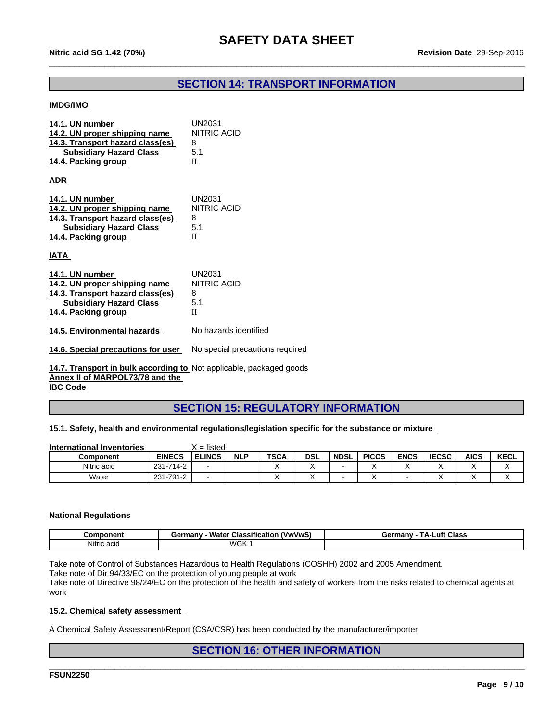# **SECTION 14: TRANSPORT INFORMATION**

 $\_$  ,  $\_$  ,  $\_$  ,  $\_$  ,  $\_$  ,  $\_$  ,  $\_$  ,  $\_$  ,  $\_$  ,  $\_$  ,  $\_$  ,  $\_$  ,  $\_$  ,  $\_$  ,  $\_$  ,  $\_$  ,  $\_$  ,  $\_$  ,  $\_$  ,  $\_$  ,  $\_$  ,  $\_$  ,  $\_$  ,  $\_$  ,  $\_$  ,  $\_$  ,  $\_$  ,  $\_$  ,  $\_$  ,  $\_$  ,  $\_$  ,  $\_$  ,  $\_$  ,  $\_$  ,  $\_$  ,  $\_$  ,  $\_$  ,

### **IMDG/IMO**

| 14.1. UN number<br>14.2. UN proper shipping name<br>14.3. Transport hazard class(es)<br><b>Subsidiary Hazard Class</b><br>14.4. Packing group | <b>UN2031</b><br>NITRIC ACID<br>8<br>5.1<br>$\mathbf{I}$ |
|-----------------------------------------------------------------------------------------------------------------------------------------------|----------------------------------------------------------|
| <b>ADR</b>                                                                                                                                    |                                                          |
| 14.1. UN number<br>14.2. UN proper shipping name<br>14.3. Transport hazard class(es)<br><b>Subsidiary Hazard Class</b><br>14.4. Packing group | <b>UN2031</b><br>NITRIC ACID<br>8<br>5.1<br>H            |
| IATA                                                                                                                                          |                                                          |
| 14.1. UN number<br>14.2. UN proper shipping name<br>14.3. Transport hazard class(es)<br><b>Subsidiary Hazard Class</b><br>14.4. Packing group | UN2031<br>NITRIC ACID<br>8<br>5.1<br>H                   |
| 14.5. Environmental hazards                                                                                                                   | No hazards identified                                    |
| 14.6. Special precautions for user                                                                                                            | No special precautions required                          |
| 14.7. Transport in bulk according to Not applicable, packaged goods<br>Annex II of MARPOL73/78 and the                                        |                                                          |

**IBC Code** 

# **SECTION 15: REGULATORY INFORMATION**

#### **15.1. Safety, health and environmental regulations/legislation specific for the substance or mixture**

| International Inventories |               | listed<br>-<br>$\overline{\phantom{0}}$ |            |             |            |             |              |             |              |             |             |
|---------------------------|---------------|-----------------------------------------|------------|-------------|------------|-------------|--------------|-------------|--------------|-------------|-------------|
| <b>Component</b>          | <b>EINECS</b> | <b>ELINCS</b>                           | <b>NLP</b> | <b>TSCA</b> | <b>DSL</b> | <b>NDSL</b> | <b>PICCS</b> | <b>ENCS</b> | <b>IECSC</b> | <b>AICS</b> | <b>KECL</b> |
| Nitric acid               | 231-714-2     |                                         |            |             |            |             |              |             |              |             |             |
| Water                     | 231-791-2     |                                         |            |             |            |             |              |             |              |             |             |

#### **National Regulations**

| こomponent   | <br><b>VwVwSi</b><br>.<br>≅ermanv⊹<br>√ Classification<br>Water | <b>Class</b><br>.uft<br>ermanvش<br>ГΔ- |
|-------------|-----------------------------------------------------------------|----------------------------------------|
| Nitric acid | <b>WGK</b>                                                      |                                        |

Take note of Control of Substances Hazardous to Health Regulations (COSHH) 2002 and 2005 Amendment.

Take note of Dir 94/33/EC on the protection of young people at work

Take note of Directive 98/24/EC on the protection of the health and safety of workers from the risks related to chemical agents at work

#### **15.2. Chemical safety assessment**

A Chemical Safety Assessment/Report (CSA/CSR) has been conducted by the manufacturer/importer

### **SECTION 16: OTHER INFORMATION**